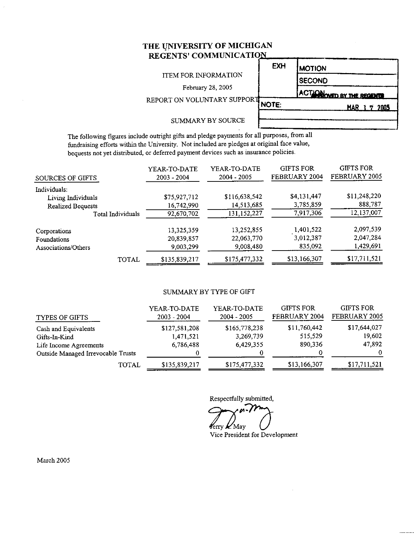### THE UNIVERSITY OF MICHIGAN REGENTS' COMMUNICATION

#### **ITEM FOR INFORMATION**

February 28, 2005

**EXH MOTION SECOND** 

REPORT ON VOLUNTARY SUPPORT

NOTE:

ACTION WED BY THE REGENTS MAR 1 7 2005

#### SUMMARY BY SOURCE

The following figures include outright gifts and pledge payments for all purposes, from all fundraising efforts within the University. Not included are pledges at original face value, bequests not yet distributed, or deferred payment devices such as insurance policies.

| SOURCES OF GIFTS    | YEAR-TO-DATE<br>$2003 - 2004$ | YEAR-TO-DATE<br>$2004 - 2005$ | <b>GIFTS FOR</b><br><b>FEBRUARY 2004</b> | <b>GIFTS FOR</b><br>FEBRUARY 2005 |
|---------------------|-------------------------------|-------------------------------|------------------------------------------|-----------------------------------|
| Individuals:        |                               |                               |                                          |                                   |
| Living Individuals  | \$75,927,712                  | \$116,638,542                 | \$4,131,447                              | \$11,248,220                      |
| Realized Bequests   | 16,742,990                    | 14,513,685                    | 3,785,859                                | 888,787                           |
| Total Individuals   | 92,670,702                    | 131,152,227                   | 7,917,306                                | 12,137,007                        |
| Corporations        | 13,325,359                    | 13,252,855                    | 1,401,522                                | 2,097,539                         |
| Foundations         | 20,839,857                    | 22,063,770                    | 3,012,387                                | 2,047,284                         |
| Associations/Others | 9,003,299                     | 9,008,480                     | 835,092                                  | 1,429,691                         |
| TOTAL               | \$135,839,217                 | \$175,477,332                 | \$13,166,307                             | \$17,711,521                      |

#### **SUMMARY BY TYPE OF GIFT**

| <b>TYPES OF GIFTS</b>              | YEAR-TO-DATE<br>$2003 - 2004$ | YEAR-TO-DATE<br>$2004 - 2005$ | <b>GIFTS FOR</b><br><b>FEBRUARY 2004</b> | <b>GIFTS FOR</b><br>FEBRUARY 2005 |
|------------------------------------|-------------------------------|-------------------------------|------------------------------------------|-----------------------------------|
| Cash and Equivalents               | \$127,581,208                 | \$165,778,238                 | \$11,760,442                             | \$17,644,027                      |
| Gifts-In-Kind                      | 1,471,521                     | 3,269,739                     | 515,529                                  | 19,602                            |
| Life Income Agreements             | 6,786,488                     | 6,429,355                     | 890,336                                  | 47,892                            |
| Outside Managed Irrevocable Trusts |                               | 0                             |                                          | $\Omega$                          |
| TOTAL                              | \$135,839,217                 | \$175,477,332                 | \$13,166,307                             | \$17,711,521                      |

Respectfully submitted,

Cerry *M.* May

Vice President for Development

March 2005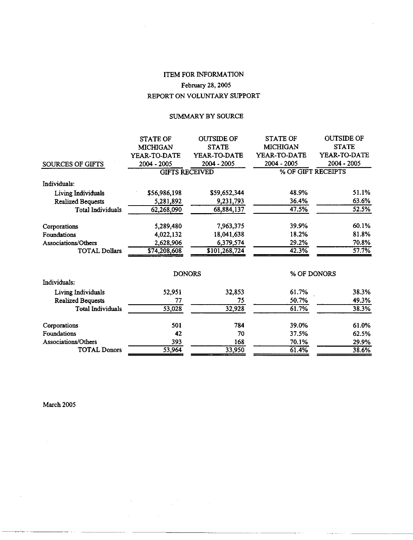# ITEM FOR INFORMATION February 28, 2005 REPORT ON VOLUNTARY SUPPORT

#### SUMMARY BY SOURCE

|                          | <b>STATE OF</b> | <b>OUTSIDE OF</b>     | <b>STATE OF</b> | <b>OUTSIDE OF</b>   |
|--------------------------|-----------------|-----------------------|-----------------|---------------------|
|                          | <b>MICHIGAN</b> | <b>STATE</b>          | <b>MICHIGAN</b> | <b>STATE</b>        |
|                          | YEAR-TO-DATE    | YEAR-TO-DATE          | YEAR-TO-DATE    | <b>YEAR-TO-DATE</b> |
| <b>SOURCES OF GIFTS</b>  | 2004 - 2005     | 2004 - 2005           | 2004 - 2005     | 2004 - 2005         |
|                          |                 | <b>GIFTS RECEIVED</b> |                 | % OF GIFT RECEIPTS  |
| Individuals:             |                 |                       |                 |                     |
| Living Individuals       | \$56,986,198    | \$59,652,344          | 48.9%           | 51.1%               |
| <b>Realized Bequests</b> | 5,281,892       | 9,231,793             | 36.4%           | 63.6%               |
| <b>Total Individuals</b> | 62,268,090      | 68,884,137            | 47.5%           | 52.5%               |
| Corporations             | 5,289,480       | 7,963,375             | 39.9%           | 60.1%               |
| Foundations              | 4,022,132       | 18,041,638            | 18.2%           | 81.8%               |
| Associations/Others      | 2,628,906       | 6,379,574             | 29.2%           | 70.8%               |
| <b>TOTAL Dollars</b>     | \$74,208,608    | \$101,268,724         | 42.3%           | 57.7%               |
|                          |                 | <b>DONORS</b>         |                 | % OF DONORS         |
| Individuals:             |                 |                       |                 |                     |
| Living Individuals       | 52,951          | 32,853                | 61.7%           | 38.3%               |
| <b>Realized Bequests</b> | 77              | 75                    | 50.7%           | 49.3%               |
| <b>Total Individuals</b> | 53,028          | 32,928                | 61.7%           | 38.3%               |
| Corporations             | 501             | 784                   | 39.0%           | 61.0%               |
| <b>Foundations</b>       | 42              | 70                    | 37.5%           | 62.5%               |
| Associations/Others      | 393             | 168                   | 70.1%           | 29.9%               |
| <b>TOTAL Donors</b>      | 53,964          | 33,950                | 61.4%           | 38.6%               |

March 2005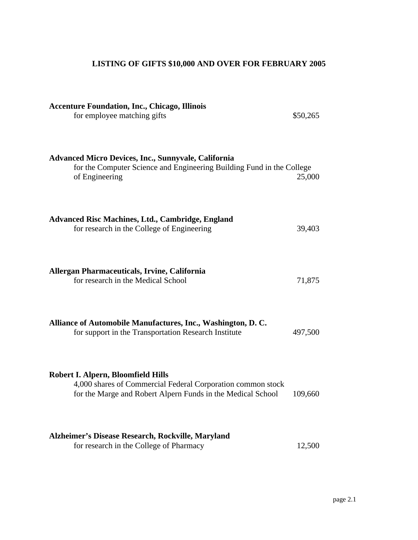# **LISTING OF GIFTS \$10,000 AND OVER FOR FEBRUARY 2005**

| <b>Accenture Foundation, Inc., Chicago, Illinois</b><br>for employee matching gifts                                                                              | \$50,265 |
|------------------------------------------------------------------------------------------------------------------------------------------------------------------|----------|
| <b>Advanced Micro Devices, Inc., Sunnyvale, California</b><br>for the Computer Science and Engineering Building Fund in the College<br>of Engineering            | 25,000   |
| <b>Advanced Risc Machines, Ltd., Cambridge, England</b><br>for research in the College of Engineering                                                            | 39,403   |
| Allergan Pharmaceuticals, Irvine, California<br>for research in the Medical School                                                                               | 71,875   |
| Alliance of Automobile Manufactures, Inc., Washington, D.C.<br>for support in the Transportation Research Institute                                              | 497,500  |
| Robert I. Alpern, Bloomfield Hills<br>4,000 shares of Commercial Federal Corporation common stock<br>for the Marge and Robert Alpern Funds in the Medical School | 109,660  |
| Alzheimer's Disease Research, Rockville, Maryland<br>for research in the College of Pharmacy                                                                     | 12,500   |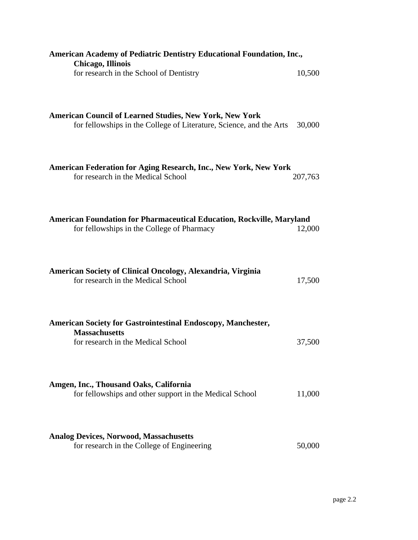| 10,500  |
|---------|
|         |
| 30,000  |
| 207,763 |
| 12,000  |
| 17,500  |
|         |
| 37,500  |
| 11,000  |
| 50,000  |
|         |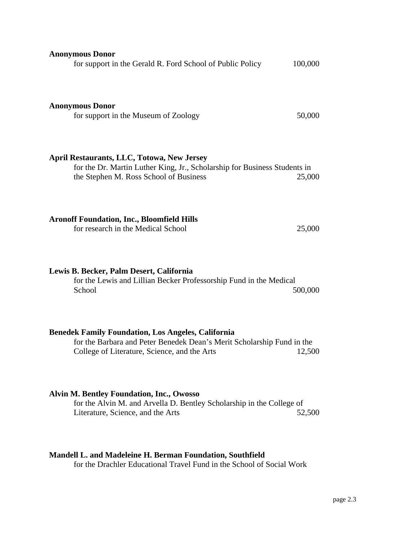| <b>Anonymous Donor</b><br>for support in the Gerald R. Ford School of Public Policy                                                                                                 | 100,000 |
|-------------------------------------------------------------------------------------------------------------------------------------------------------------------------------------|---------|
| <b>Anonymous Donor</b><br>for support in the Museum of Zoology                                                                                                                      | 50,000  |
| <b>April Restaurants, LLC, Totowa, New Jersey</b><br>for the Dr. Martin Luther King, Jr., Scholarship for Business Students in<br>the Stephen M. Ross School of Business            | 25,000  |
| <b>Aronoff Foundation, Inc., Bloomfield Hills</b><br>for research in the Medical School                                                                                             | 25,000  |
| Lewis B. Becker, Palm Desert, California<br>for the Lewis and Lillian Becker Professorship Fund in the Medical<br>School                                                            | 500,000 |
| <b>Benedek Family Foundation, Los Angeles, California</b><br>for the Barbara and Peter Benedek Dean's Merit Scholarship Fund in the<br>College of Literature, Science, and the Arts | 12,500  |
| <b>Alvin M. Bentley Foundation, Inc., Owosso</b><br>for the Alvin M. and Arvella D. Bentley Scholarship in the College of<br>Literature, Science, and the Arts                      | 52,500  |
| Mandell L. and Madeleine H. Berman Foundation, Southfield<br>for the Drachler Educational Travel Fund in the School of Social Work                                                  |         |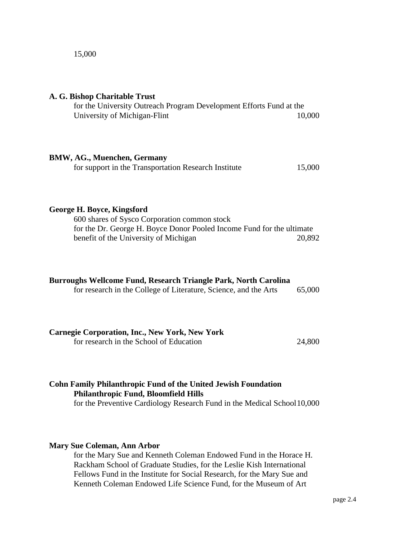#### 15,000

| A. G. Bishop Charitable Trust<br>for the University Outreach Program Development Efforts Fund at the<br>University of Michigan-Flint                                                         | 10,000 |
|----------------------------------------------------------------------------------------------------------------------------------------------------------------------------------------------|--------|
| <b>BMW, AG., Muenchen, Germany</b><br>for support in the Transportation Research Institute                                                                                                   | 15,000 |
| George H. Boyce, Kingsford<br>600 shares of Sysco Corporation common stock<br>for the Dr. George H. Boyce Donor Pooled Income Fund for the ultimate<br>benefit of the University of Michigan | 20,892 |
| Burroughs Wellcome Fund, Research Triangle Park, North Carolina<br>for research in the College of Literature, Science, and the Arts                                                          | 65,000 |
| <b>Carnegie Corporation, Inc., New York, New York</b><br>for research in the School of Education                                                                                             | 24,800 |
|                                                                                                                                                                                              |        |

# **Cohn Family Philanthropic Fund of the United Jewish Foundation Philanthropic Fund, Bloomfield Hills**

for the Preventive Cardiology Research Fund in the Medical School10,000

#### **Mary Sue Coleman, Ann Arbor**

for the Mary Sue and Kenneth Coleman Endowed Fund in the Horace H. Rackham School of Graduate Studies, for the Leslie Kish International Fellows Fund in the Institute for Social Research, for the Mary Sue and Kenneth Coleman Endowed Life Science Fund, for the Museum of Art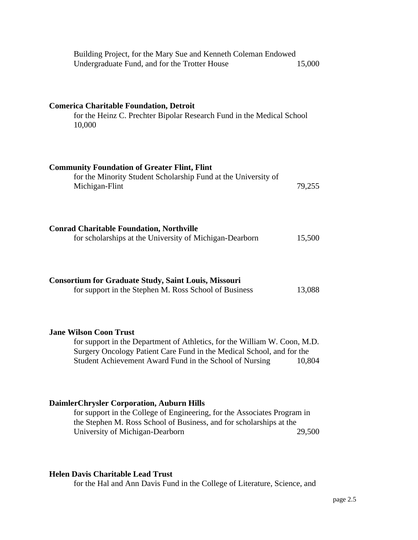| Building Project, for the Mary Sue and Kenneth Coleman Endowed<br>Undergraduate Fund, and for the Trotter House                                                                                                                                | 15,000 |
|------------------------------------------------------------------------------------------------------------------------------------------------------------------------------------------------------------------------------------------------|--------|
| <b>Comerica Charitable Foundation, Detroit</b><br>for the Heinz C. Prechter Bipolar Research Fund in the Medical School<br>10,000                                                                                                              |        |
| <b>Community Foundation of Greater Flint, Flint</b><br>for the Minority Student Scholarship Fund at the University of<br>Michigan-Flint                                                                                                        | 79,255 |
| <b>Conrad Charitable Foundation, Northville</b><br>for scholarships at the University of Michigan-Dearborn                                                                                                                                     | 15,500 |
| <b>Consortium for Graduate Study, Saint Louis, Missouri</b><br>for support in the Stephen M. Ross School of Business                                                                                                                           | 13,088 |
| <b>Jane Wilson Coon Trust</b><br>for support in the Department of Athletics, for the William W. Coon, M.D.<br>Surgery Oncology Patient Care Fund in the Medical School, and for the<br>Student Achievement Award Fund in the School of Nursing | 10,804 |
| <b>DaimlerChrysler Corporation, Auburn Hills</b><br>for support in the College of Engineering, for the Associates Program in<br>the Stephen M. Ross School of Business, and for scholarships at the<br>University of Michigan-Dearborn         | 29,500 |

# **Helen Davis Charitable Lead Trust**

for the Hal and Ann Davis Fund in the College of Literature, Science, and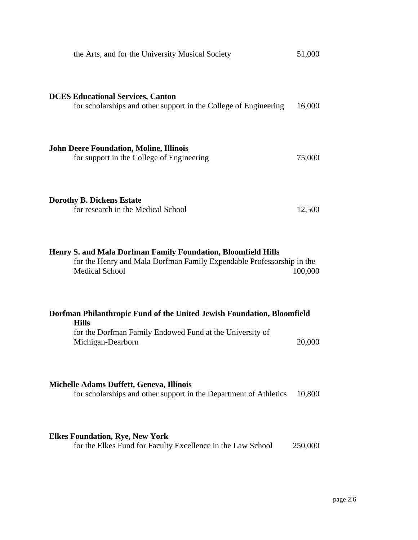| the Arts, and for the University Musical Society                                                                                                                        | 51,000  |
|-------------------------------------------------------------------------------------------------------------------------------------------------------------------------|---------|
| <b>DCES Educational Services, Canton</b><br>for scholarships and other support in the College of Engineering                                                            | 16,000  |
| <b>John Deere Foundation, Moline, Illinois</b><br>for support in the College of Engineering                                                                             | 75,000  |
| <b>Dorothy B. Dickens Estate</b><br>for research in the Medical School                                                                                                  | 12,500  |
| Henry S. and Mala Dorfman Family Foundation, Bloomfield Hills<br>for the Henry and Mala Dorfman Family Expendable Professorship in the<br><b>Medical School</b>         | 100,000 |
| Dorfman Philanthropic Fund of the United Jewish Foundation, Bloomfield<br><b>Hills</b><br>for the Dorfman Family Endowed Fund at the University of<br>Michigan-Dearborn | 20,000  |
| <b>Michelle Adams Duffett, Geneva, Illinois</b><br>for scholarships and other support in the Department of Athletics                                                    | 10,800  |
| <b>Elkes Foundation, Rye, New York</b><br>for the Elkes Fund for Faculty Excellence in the Law School                                                                   | 250,000 |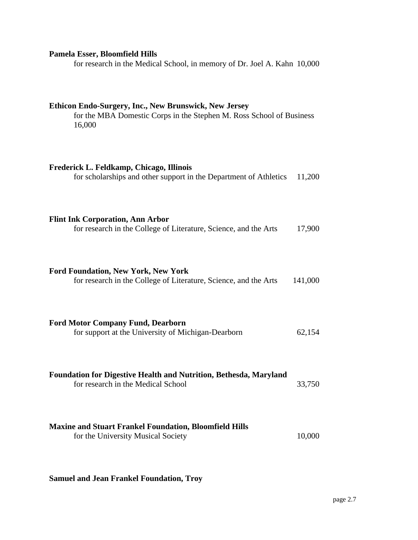## **Pamela Esser, Bloomfield Hills**

for research in the Medical School, in memory of Dr. Joel A. Kahn 10,000

**Ethicon Endo-Surgery, Inc., New Brunswick, New Jersey**

| for the MBA Domestic Corps in the Stephen M. Ross School of Business<br>16,000                                 |         |
|----------------------------------------------------------------------------------------------------------------|---------|
| Frederick L. Feldkamp, Chicago, Illinois<br>for scholarships and other support in the Department of Athletics  | 11,200  |
| <b>Flint Ink Corporation, Ann Arbor</b><br>for research in the College of Literature, Science, and the Arts    | 17,900  |
| <b>Ford Foundation, New York, New York</b><br>for research in the College of Literature, Science, and the Arts | 141,000 |
| <b>Ford Motor Company Fund, Dearborn</b><br>for support at the University of Michigan-Dearborn                 | 62,154  |
| <b>Foundation for Digestive Health and Nutrition, Bethesda, Maryland</b><br>for research in the Medical School | 33,750  |
| <b>Maxine and Stuart Frankel Foundation, Bloomfield Hills</b><br>for the University Musical Society            | 10,000  |

**Samuel and Jean Frankel Foundation, Troy**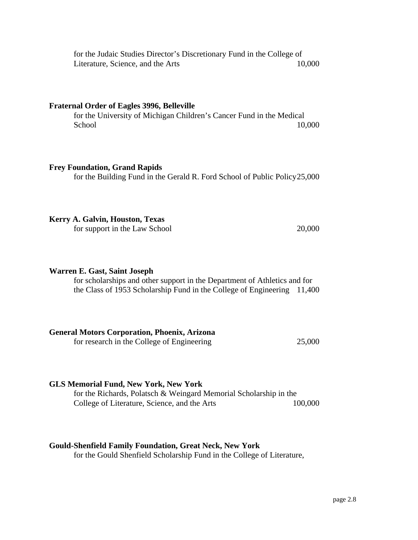for the Judaic Studies Director's Discretionary Fund in the College of Literature, Science, and the Arts 10,000

#### **Fraternal Order of Eagles 3996, Belleville**

for the University of Michigan Children's Cancer Fund in the Medical School 10,000

#### **Frey Foundation, Grand Rapids**

for the Building Fund in the Gerald R. Ford School of Public Policy25,000

#### **Kerry A. Galvin, Houston, Texas**

for support in the Law School 20,000

#### **Warren E. Gast, Saint Joseph**

for scholarships and other support in the Department of Athletics and for the Class of 1953 Scholarship Fund in the College of Engineering 11,400

#### **General Motors Corporation, Phoenix, Arizona**

for research in the College of Engineering 25,000

#### **GLS Memorial Fund, New York, New York**

for the Richards, Polatsch & Weingard Memorial Scholarship in the College of Literature, Science, and the Arts 100,000

#### **Gould-Shenfield Family Foundation, Great Neck, New York**

for the Gould Shenfield Scholarship Fund in the College of Literature,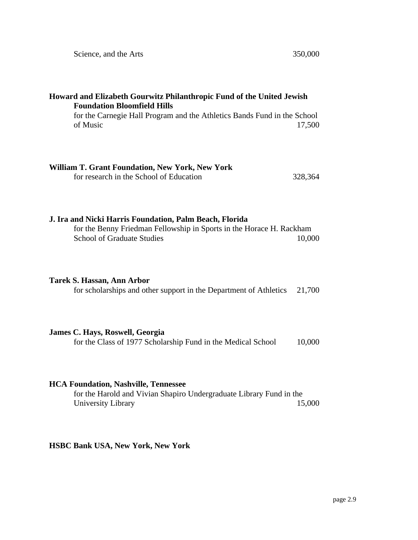| Howard and Elizabeth Gourwitz Philanthropic Fund of the United Jewish<br><b>Foundation Bloomfield Hills</b>                                                                    |
|--------------------------------------------------------------------------------------------------------------------------------------------------------------------------------|
| for the Carnegie Hall Program and the Athletics Bands Fund in the School<br>of Music<br>17,500                                                                                 |
| <b>William T. Grant Foundation, New York, New York</b><br>for research in the School of Education<br>328,364                                                                   |
| J. Ira and Nicki Harris Foundation, Palm Beach, Florida<br>for the Benny Friedman Fellowship in Sports in the Horace H. Rackham<br><b>School of Graduate Studies</b><br>10,000 |
| Tarek S. Hassan, Ann Arbor<br>for scholarships and other support in the Department of Athletics<br>21,700                                                                      |
| James C. Hays, Roswell, Georgia<br>for the Class of 1977 Scholarship Fund in the Medical School<br>10,000                                                                      |
| <b>HCA Foundation, Nashville, Tennessee</b><br>for the Harold and Vivian Shapiro Undergraduate Library Fund in the<br>University Library<br>15,000                             |
| <b>HSBC Bank USA, New York, New York</b>                                                                                                                                       |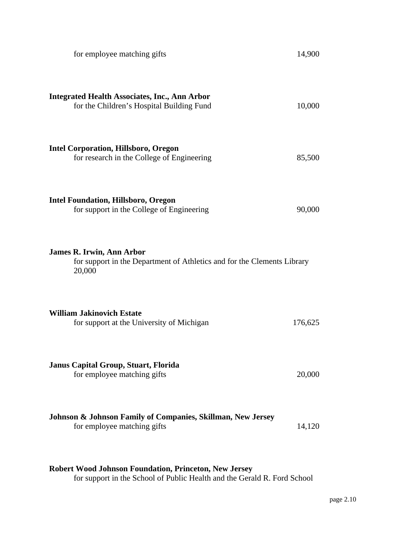| for employee matching gifts                                                                                           | 14,900  |
|-----------------------------------------------------------------------------------------------------------------------|---------|
| <b>Integrated Health Associates, Inc., Ann Arbor</b><br>for the Children's Hospital Building Fund                     | 10,000  |
| <b>Intel Corporation, Hillsboro, Oregon</b><br>for research in the College of Engineering                             | 85,500  |
| <b>Intel Foundation, Hillsboro, Oregon</b><br>for support in the College of Engineering                               | 90,000  |
| <b>James R. Irwin, Ann Arbor</b><br>for support in the Department of Athletics and for the Clements Library<br>20,000 |         |
| <b>William Jakinovich Estate</b><br>for support at the University of Michigan                                         | 176,625 |
| <b>Janus Capital Group, Stuart, Florida</b><br>for employee matching gifts                                            | 20,000  |
| Johnson & Johnson Family of Companies, Skillman, New Jersey<br>for employee matching gifts                            | 14,120  |
|                                                                                                                       |         |

### **Robert Wood Johnson Foundation, Princeton, New Jersey**

for support in the School of Public Health and the Gerald R. Ford School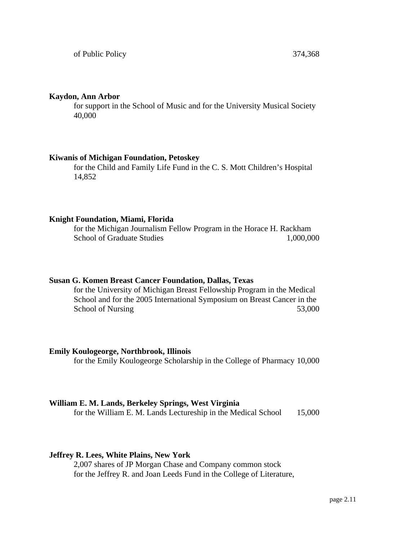#### **Kaydon, Ann Arbor**

for support in the School of Music and for the University Musical Society 40,000

#### **Kiwanis of Michigan Foundation, Petoskey**

for the Child and Family Life Fund in the C. S. Mott Children's Hospital 14,852

#### **Knight Foundation, Miami, Florida**

for the Michigan Journalism Fellow Program in the Horace H. Rackham School of Graduate Studies 1,000,000

#### **Susan G. Komen Breast Cancer Foundation, Dallas, Texas**

for the University of Michigan Breast Fellowship Program in the Medical School and for the 2005 International Symposium on Breast Cancer in the School of Nursing 53,000

#### **Emily Koulogeorge, Northbrook, Illinois**

for the Emily Koulogeorge Scholarship in the College of Pharmacy 10,000

#### **William E. M. Lands, Berkeley Springs, West Virginia**

for the William E. M. Lands Lectureship in the Medical School 15,000

#### **Jeffrey R. Lees, White Plains, New York**

2,007 shares of JP Morgan Chase and Company common stock for the Jeffrey R. and Joan Leeds Fund in the College of Literature,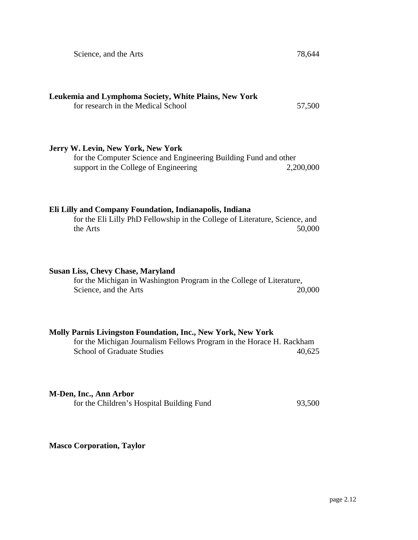Science, and the Arts 78,644

### **Leukemia and Lymphoma Society, White Plains, New York** for research in the Medical School 57,500

#### **Jerry W. Levin, New York, New York**

for the Computer Science and Engineering Building Fund and other support in the College of Engineering 2,200,000

#### **Eli Lilly and Company Foundation, Indianapolis, Indiana**

for the Eli Lilly PhD Fellowship in the College of Literature, Science, and the Arts 50,000

#### **Susan Liss, Chevy Chase, Maryland**

for the Michigan in Washington Program in the College of Literature, Science, and the Arts 20,000

#### **Molly Parnis Livingston Foundation, Inc., New York, New York**

for the Michigan Journalism Fellows Program in the Horace H. Rackham School of Graduate Studies 40,625

#### **M-Den, Inc., Ann Arbor**

for the Children's Hospital Building Fund 93,500

**Masco Corporation, Taylor**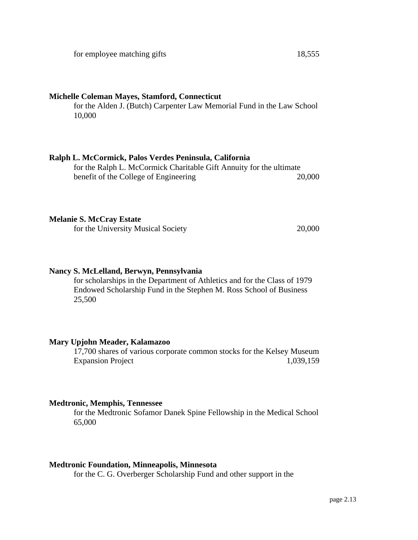#### **Michelle Coleman Mayes, Stamford, Connecticut**

for the Alden J. (Butch) Carpenter Law Memorial Fund in the Law School 10,000

#### **Ralph L. McCormick, Palos Verdes Peninsula, California**

for the Ralph L. McCormick Charitable Gift Annuity for the ultimate benefit of the College of Engineering 20,000

#### **Melanie S. McCray Estate**

for the University Musical Society 20,000

#### **Nancy S. McLelland, Berwyn, Pennsylvania**

for scholarships in the Department of Athletics and for the Class of 1979 Endowed Scholarship Fund in the Stephen M. Ross School of Business 25,500

#### **Mary Upjohn Meader, Kalamazoo**

17,700 shares of various corporate common stocks for the Kelsey Museum Expansion Project 1,039,159

#### **Medtronic, Memphis, Tennessee**

for the Medtronic Sofamor Danek Spine Fellowship in the Medical School 65,000

#### **Medtronic Foundation, Minneapolis, Minnesota**

for the C. G. Overberger Scholarship Fund and other support in the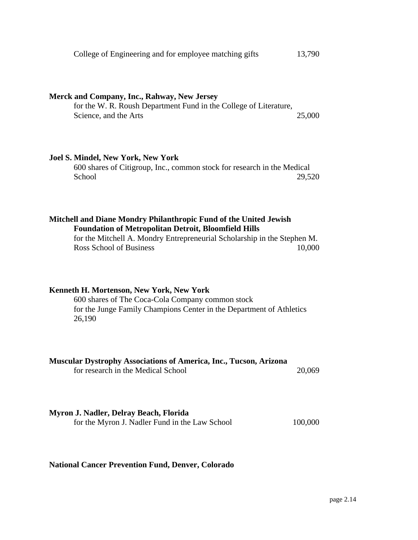|  | College of Engineering and for employee matching gifts | 13,790 |
|--|--------------------------------------------------------|--------|
|  |                                                        |        |

#### **Merck and Company, Inc., Rahway, New Jersey**

for the W. R. Roush Department Fund in the College of Literature, Science, and the Arts 25,000

#### **Joel S. Mindel, New York, New York**

600 shares of Citigroup, Inc., common stock for research in the Medical School 29,520

#### **Mitchell and Diane Mondry Philanthropic Fund of the United Jewish Foundation of Metropolitan Detroit, Bloomfield Hills**

for the Mitchell A. Mondry Entrepreneurial Scholarship in the Stephen M. Ross School of Business 10,000

#### **Kenneth H. Mortenson, New York, New York**

600 shares of The Coca-Cola Company common stock for the Junge Family Champions Center in the Department of Athletics 26,190

| <b>Muscular Dystrophy Associations of America, Inc., Tucson, Arizona</b> |        |
|--------------------------------------------------------------------------|--------|
| for research in the Medical School                                       | 20,069 |

#### **Myron J. Nadler, Delray Beach, Florida**

for the Myron J. Nadler Fund in the Law School 100,000

#### **National Cancer Prevention Fund, Denver, Colorado**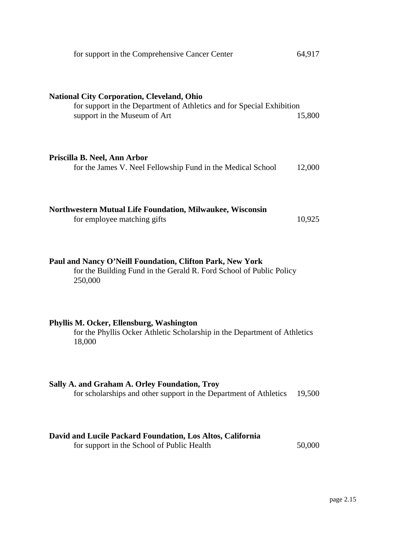| 64,917                                                                          |
|---------------------------------------------------------------------------------|
| for support in the Department of Athletics and for Special Exhibition<br>15,800 |
| 12,000                                                                          |
| 10,925                                                                          |
| for the Building Fund in the Gerald R. Ford School of Public Policy             |
| for the Phyllis Ocker Athletic Scholarship in the Department of Athletics       |
| 19,500                                                                          |
|                                                                                 |

#### **David and Lucile Packard Foundation, Los Altos, California**

for support in the School of Public Health 50,000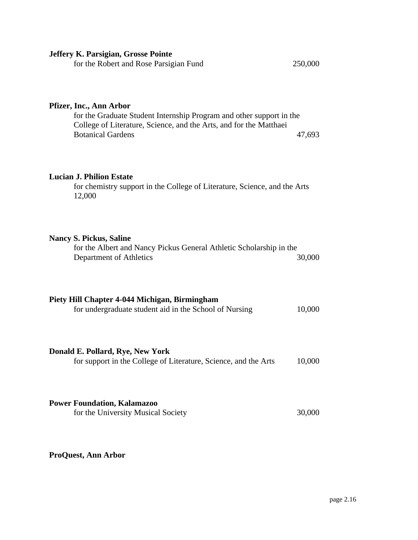| Jeffery K. Parsigian, Grosse Pointe                                                                                                                                                               |         |
|---------------------------------------------------------------------------------------------------------------------------------------------------------------------------------------------------|---------|
| for the Robert and Rose Parsigian Fund                                                                                                                                                            | 250,000 |
| Pfizer, Inc., Ann Arbor<br>for the Graduate Student Internship Program and other support in the<br>College of Literature, Science, and the Arts, and for the Matthaei<br><b>Botanical Gardens</b> | 47,693  |
|                                                                                                                                                                                                   |         |
| <b>Lucian J. Philion Estate</b><br>for chemistry support in the College of Literature, Science, and the Arts<br>12,000                                                                            |         |
|                                                                                                                                                                                                   |         |
| <b>Nancy S. Pickus, Saline</b><br>for the Albert and Nancy Pickus General Athletic Scholarship in the<br>Department of Athletics                                                                  | 30,000  |
|                                                                                                                                                                                                   |         |
| Piety Hill Chapter 4-044 Michigan, Birmingham                                                                                                                                                     |         |
| for undergraduate student aid in the School of Nursing                                                                                                                                            | 10,000  |
|                                                                                                                                                                                                   |         |
| Donald E. Pollard, Rye, New York                                                                                                                                                                  |         |
| for support in the College of Literature, Science, and the Arts                                                                                                                                   | 10,000  |
|                                                                                                                                                                                                   |         |
| <b>Power Foundation, Kalamazoo</b>                                                                                                                                                                |         |
| for the University Musical Society                                                                                                                                                                | 30,000  |

# **ProQuest, Ann Arbor**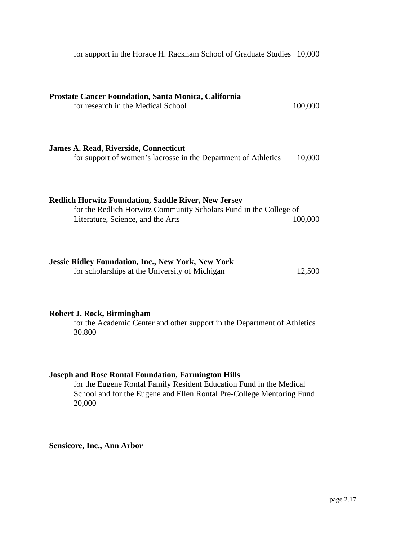| <b>Prostate Cancer Foundation, Santa Monica, California</b><br>for research in the Medical School                                                                     | 100,000 |
|-----------------------------------------------------------------------------------------------------------------------------------------------------------------------|---------|
| <b>James A. Read, Riverside, Connecticut</b><br>for support of women's lacrosse in the Department of Athletics                                                        | 10,000  |
| <b>Redlich Horwitz Foundation, Saddle River, New Jersey</b><br>for the Redlich Horwitz Community Scholars Fund in the College of<br>Literature, Science, and the Arts | 100,000 |
| <b>Jessie Ridley Foundation, Inc., New York, New York</b><br>for scholarships at the University of Michigan                                                           | 12,500  |

for support in the Horace H. Rackham School of Graduate Studies 10,000

#### **Robert J. Rock, Birmingham**

for the Academic Center and other support in the Department of Athletics 30,800

#### **Joseph and Rose Rontal Foundation, Farmington Hills**

for the Eugene Rontal Family Resident Education Fund in the Medical School and for the Eugene and Ellen Rontal Pre-College Mentoring Fund 20,000

**Sensicore, Inc., Ann Arbor**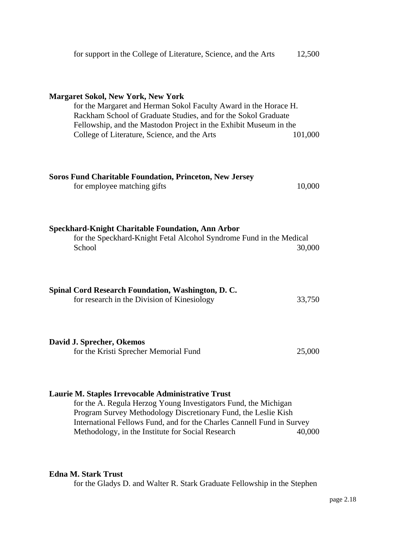| for support in the College of Literature, Science, and the Arts                                                                                                                                                                                                                                      | 12,500  |  |  |
|------------------------------------------------------------------------------------------------------------------------------------------------------------------------------------------------------------------------------------------------------------------------------------------------------|---------|--|--|
| <b>Margaret Sokol, New York, New York</b><br>for the Margaret and Herman Sokol Faculty Award in the Horace H.<br>Rackham School of Graduate Studies, and for the Sokol Graduate<br>Fellowship, and the Mastodon Project in the Exhibit Museum in the<br>College of Literature, Science, and the Arts | 101,000 |  |  |
| <b>Soros Fund Charitable Foundation, Princeton, New Jersey</b><br>for employee matching gifts                                                                                                                                                                                                        | 10,000  |  |  |
| <b>Speckhard-Knight Charitable Foundation, Ann Arbor</b><br>for the Speckhard-Knight Fetal Alcohol Syndrome Fund in the Medical<br>School                                                                                                                                                            | 30,000  |  |  |
| Spinal Cord Research Foundation, Washington, D. C.<br>for research in the Division of Kinesiology                                                                                                                                                                                                    | 33,750  |  |  |
| David J. Sprecher, Okemos<br>for the Kristi Sprecher Memorial Fund                                                                                                                                                                                                                                   | 25,000  |  |  |
| Laurie M. Staples Irrevocable Administrative Trust<br>for the A. Regula Herzog Young Investigators Fund, the Michigan                                                                                                                                                                                |         |  |  |

Program Survey Methodology Discretionary Fund, the Leslie Kish International Fellows Fund, and for the Charles Cannell Fund in Survey Methodology, in the Institute for Social Research 40,000

#### **Edna M. Stark Trust**

for the Gladys D. and Walter R. Stark Graduate Fellowship in the Stephen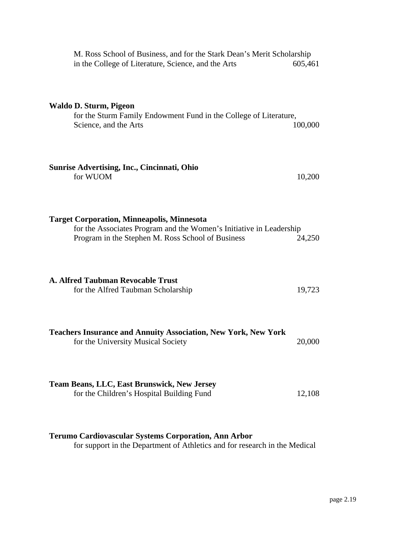| M. Ross School of Business, and for the Stark Dean's Merit Scholarship<br>in the College of Literature, Science, and the Arts                                                 | 605,461 |
|-------------------------------------------------------------------------------------------------------------------------------------------------------------------------------|---------|
| Waldo D. Sturm, Pigeon<br>for the Sturm Family Endowment Fund in the College of Literature,<br>Science, and the Arts                                                          | 100,000 |
| <b>Sunrise Advertising, Inc., Cincinnati, Ohio</b><br>for WUOM                                                                                                                | 10,200  |
| <b>Target Corporation, Minneapolis, Minnesota</b><br>for the Associates Program and the Women's Initiative in Leadership<br>Program in the Stephen M. Ross School of Business | 24,250  |
| <b>A. Alfred Taubman Revocable Trust</b><br>for the Alfred Taubman Scholarship                                                                                                | 19,723  |
| <b>Teachers Insurance and Annuity Association, New York, New York</b><br>for the University Musical Society                                                                   | 20,000  |
| <b>Team Beans, LLC, East Brunswick, New Jersey</b><br>for the Children's Hospital Building Fund                                                                               | 12,108  |

# **Terumo Cardiovascular Systems Corporation, Ann Arbor**

for support in the Department of Athletics and for research in the Medical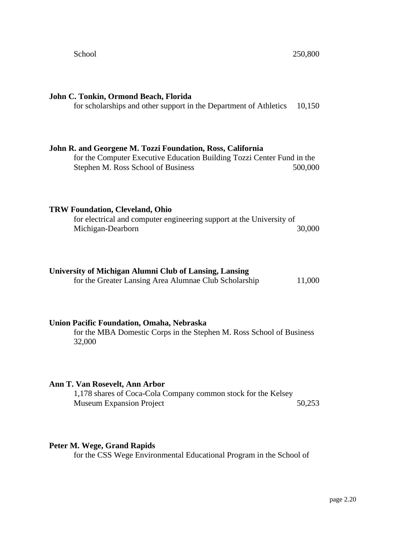# **John C. Tonkin, Ormond Beach, Florida** for scholarships and other support in the Department of Athletics 10,150 **John R. and Georgene M. Tozzi Foundation, Ross, California** for the Computer Executive Education Building Tozzi Center Fund in the Stephen M. Ross School of Business 500,000 **TRW Foundation, Cleveland, Ohio** for electrical and computer engineering support at the University of Michigan-Dearborn 30,000 **University of Michigan Alumni Club of Lansing, Lansing** for the Greater Lansing Area Alumnae Club Scholarship 11,000 **Union Pacific Foundation, Omaha, Nebraska** for the MBA Domestic Corps in the Stephen M. Ross School of Business 32,000 **Ann T. Van Rosevelt, Ann Arbor** 1,178 shares of Coca-Cola Company common stock for the Kelsey Museum Expansion Project 50,253

#### **Peter M. Wege, Grand Rapids**

for the CSS Wege Environmental Educational Program in the School of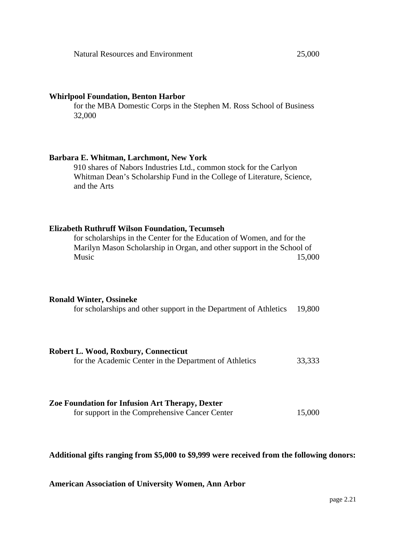#### **Whirlpool Foundation, Benton Harbor**

for the MBA Domestic Corps in the Stephen M. Ross School of Business 32,000

#### **Barbara E. Whitman, Larchmont, New York**

910 shares of Nabors Industries Ltd., common stock for the Carlyon Whitman Dean's Scholarship Fund in the College of Literature, Science, and the Arts

#### **Elizabeth Ruthruff Wilson Foundation, Tecumseh**

for scholarships in the Center for the Education of Women, and for the Marilyn Mason Scholarship in Organ, and other support in the School of Music 15,000

#### **Ronald Winter, Ossineke**

| for scholarships and other support in the Department of Athletics 19,800 |  |  |  |  |  |  |
|--------------------------------------------------------------------------|--|--|--|--|--|--|
|--------------------------------------------------------------------------|--|--|--|--|--|--|

| Robert L. Wood, Roxbury, Connecticut                   |        |
|--------------------------------------------------------|--------|
| for the Academic Center in the Department of Athletics | 33,333 |

#### **Zoe Foundation for Infusion Art Therapy, Dexter** for support in the Comprehensive Cancer Center 15,000

#### **Additional gifts ranging from \$5,000 to \$9,999 were received from the following donors:**

**American Association of University Women, Ann Arbor**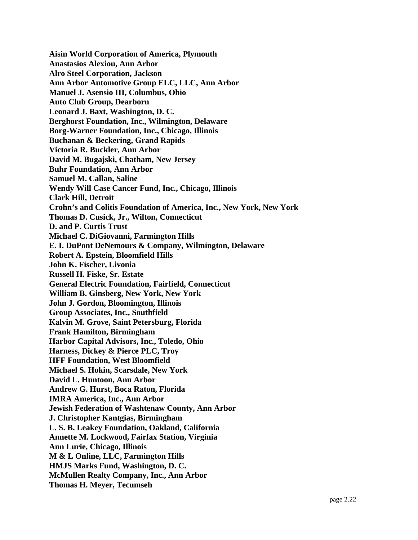**Aisin World Corporation of America, Plymouth Anastasios Alexiou, Ann Arbor Alro Steel Corporation, Jackson Ann Arbor Automotive Group ELC, LLC, Ann Arbor Manuel J. Asensio III, Columbus, Ohio Auto Club Group, Dearborn Leonard J. Baxt, Washington, D. C. Berghorst Foundation, Inc., Wilmington, Delaware Borg-Warner Foundation, Inc., Chicago, Illinois Buchanan & Beckering, Grand Rapids Victoria R. Buckler, Ann Arbor David M. Bugajski, Chatham, New Jersey Buhr Foundation, Ann Arbor Samuel M. Callan, Saline Wendy Will Case Cancer Fund, Inc., Chicago, Illinois Clark Hill, Detroit Crohn's and Colitis Foundation of America, Inc., New York, New York Thomas D. Cusick, Jr., Wilton, Connecticut D. and P. Curtis Trust Michael C. DiGiovanni, Farmington Hills E. I. DuPont DeNemours & Company, Wilmington, Delaware Robert A. Epstein, Bloomfield Hills John K. Fischer, Livonia Russell H. Fiske, Sr. Estate General Electric Foundation, Fairfield, Connecticut William B. Ginsberg, New York, New York John J. Gordon, Bloomington, Illinois Group Associates, Inc., Southfield Kalvin M. Grove, Saint Petersburg, Florida Frank Hamilton, Birmingham Harbor Capital Advisors, Inc., Toledo, Ohio Harness, Dickey & Pierce PLC, Troy HFF Foundation, West Bloomfield Michael S. Hokin, Scarsdale, New York David L. Huntoon, Ann Arbor Andrew G. Hurst, Boca Raton, Florida IMRA America, Inc., Ann Arbor Jewish Federation of Washtenaw County, Ann Arbor J. Christopher Kantgias, Birmingham L. S. B. Leakey Foundation, Oakland, California Annette M. Lockwood, Fairfax Station, Virginia Ann Lurie, Chicago, Illinois M & L Online, LLC, Farmington Hills HMJS Marks Fund, Washington, D. C. McMullen Realty Company, Inc., Ann Arbor Thomas H. Meyer, Tecumseh**